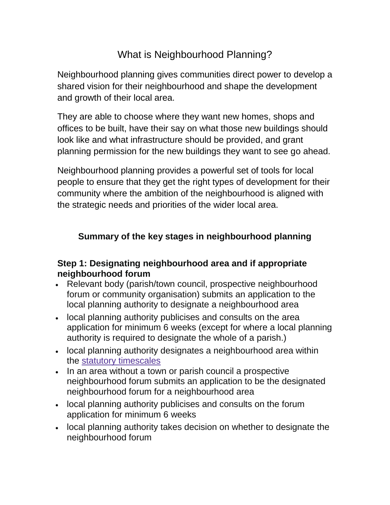# What is Neighbourhood Planning?

Neighbourhood planning gives communities direct power to develop a shared vision for their neighbourhood and shape the development and growth of their local area.

They are able to choose where they want new homes, shops and offices to be built, have their say on what those new buildings should look like and what infrastructure should be provided, and grant planning permission for the new buildings they want to see go ahead.

Neighbourhood planning provides a powerful set of tools for local people to ensure that they get the right types of development for their community where the ambition of the neighbourhood is aligned with the strategic needs and priorities of the wider local area.

### **Summary of the key stages in neighbourhood planning**

#### **Step 1: Designating neighbourhood area and if appropriate neighbourhood forum**

- Relevant body (parish/town council, prospective neighbourhood forum or community organisation) submits an application to the local planning authority to designate a neighbourhood area
- local planning authority publicises and consults on the area application for minimum 6 weeks (except for where a local planning authority is required to designate the whole of a parish.)
- local planning authority designates a neighbourhood area within the statutory [timescales](about:blank)
- In an area without a town or parish council a prospective neighbourhood forum submits an application to be the designated neighbourhood forum for a neighbourhood area
- local planning authority publicises and consults on the forum application for minimum 6 weeks
- local planning authority takes decision on whether to designate the neighbourhood forum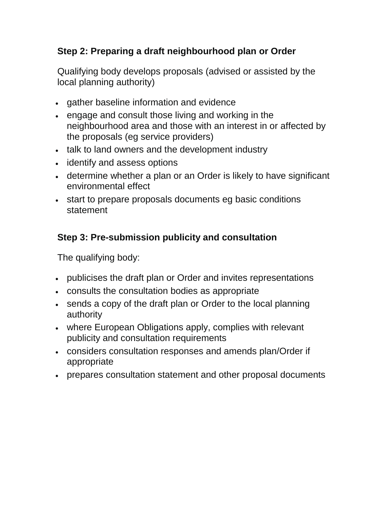## **Step 2: Preparing a draft neighbourhood plan or Order**

Qualifying body develops proposals (advised or assisted by the local planning authority)

- gather baseline information and evidence
- engage and consult those living and working in the neighbourhood area and those with an interest in or affected by the proposals (eg service providers)
- talk to land owners and the development industry
- identify and assess options
- determine whether a plan or an Order is likely to have significant environmental effect
- start to prepare proposals documents eg basic conditions statement

## **Step 3: Pre-submission publicity and consultation**

The qualifying body:

- publicises the draft plan or Order and invites representations
- consults the consultation bodies as appropriate
- sends a copy of the draft plan or Order to the local planning authority
- where European Obligations apply, complies with relevant publicity and consultation requirements
- considers consultation responses and amends plan/Order if appropriate
- prepares consultation statement and other proposal documents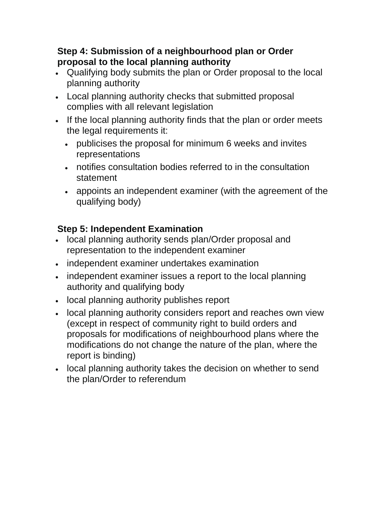### **Step 4: Submission of a neighbourhood plan or Order proposal to the local planning authority**

- Qualifying body submits the plan or Order proposal to the local planning authority
- Local planning authority checks that submitted proposal complies with all relevant legislation
- If the local planning authority finds that the plan or order meets the legal requirements it:
	- publicises the proposal for minimum 6 weeks and invites representations
	- notifies consultation bodies referred to in the consultation statement
	- appoints an independent examiner (with the agreement of the qualifying body)

## **Step 5: Independent Examination**

- local planning authority sends plan/Order proposal and representation to the independent examiner
- independent examiner undertakes examination
- independent examiner issues a report to the local planning authority and qualifying body
- local planning authority publishes report
- local planning authority considers report and reaches own view (except in respect of community right to build orders and proposals for modifications of neighbourhood plans where the modifications do not change the nature of the plan, where the report is binding)
- local planning authority takes the decision on whether to send the plan/Order to referendum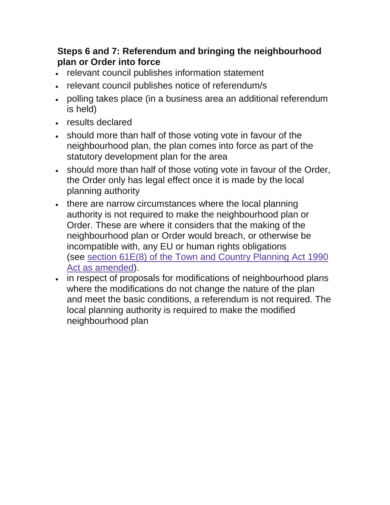## **Steps 6 and 7: Referendum and bringing the neighbourhood plan or Order into force**

- relevant council publishes information statement
- relevant council publishes notice of referendum/s
- polling takes place (in a business area an additional referendum is held)
- results declared
- should more than half of those voting vote in favour of the neighbourhood plan, the plan comes into force as part of the statutory development plan for the area
- should more than half of those voting vote in favour of the Order, the Order only has legal effect once it is made by the local planning authority
- there are narrow circumstances where the local planning authority is not required to make the neighbourhood plan or Order. These are where it considers that the making of the neighbourhood plan or Order would breach, or otherwise be incompatible with, any EU or human rights obligations (see section 61E(8) of the Town and Country [Planning](about:blank) Act 1990 Act as [amended\)](about:blank).
- in respect of proposals for modifications of neighbourhood plans where the modifications do not change the nature of the plan and meet the basic conditions, a referendum is not required. The local planning authority is required to make the modified neighbourhood plan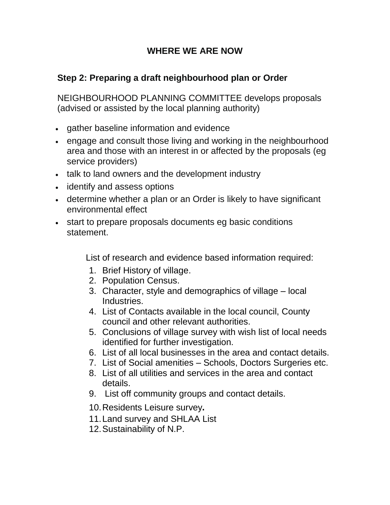#### **WHERE WE ARE NOW**

#### **Step 2: Preparing a draft neighbourhood plan or Order**

NEIGHBOURHOOD PLANNING COMMITTEE develops proposals (advised or assisted by the local planning authority)

- gather baseline information and evidence
- engage and consult those living and working in the neighbourhood area and those with an interest in or affected by the proposals (eg service providers)
- talk to land owners and the development industry
- identify and assess options
- determine whether a plan or an Order is likely to have significant environmental effect
- start to prepare proposals documents eg basic conditions statement.

List of research and evidence based information required:

- 1. Brief History of village.
- 2. Population Census.
- 3. Character, style and demographics of village local Industries.
- 4. List of Contacts available in the local council, County council and other relevant authorities.
- 5. Conclusions of village survey with wish list of local needs identified for further investigation.
- 6. List of all local businesses in the area and contact details.
- 7. List of Social amenities Schools, Doctors Surgeries etc.
- 8. List of all utilities and services in the area and contact details.
- 9. List off community groups and contact details.
- 10.Residents Leisure survey.
- 11.Land survey and SHLAA List
- 12.Sustainability of N.P.